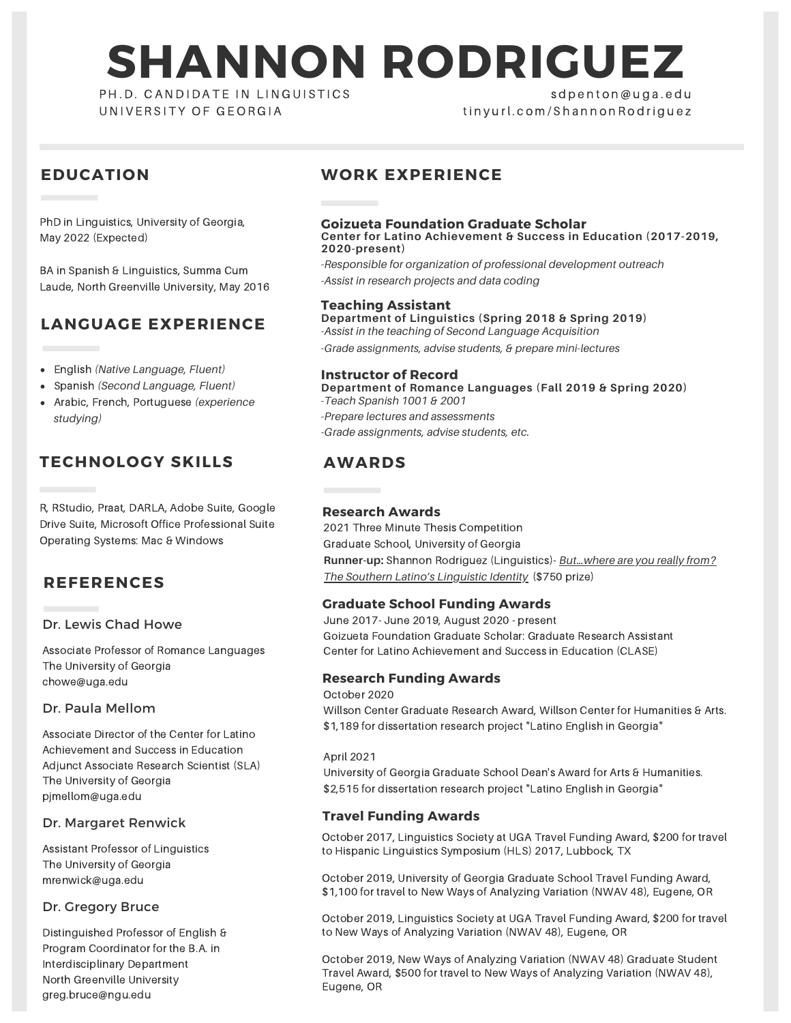# **SHANNON RODRIGUEZ**

PH.D. CANDIDATE IN LINGUISTICS UNIVERSITY OF GEORGIA

## s d p e n t o n @ u g a . e d u tin v u r l . c o m / S h a n n o n R o d r i q u e z

## **EDUCATION**

PhD in Linguistics, University of Georgia, May 2022 (Expected)

BA in Spanish & Linguistics, Summa Cum Laude, North Greenville University, May 2016

# **LANGUAGE EXPERIENCE**

- English *(Native Language, Fluent)*
- Spanish *(Second Language, Fluent)*
- Arabic, French, Portuguese *(experience studying)*

# **TECHNOLOGY SKILLS**

R, RStudio, Praat, DARLA, Adobe Suite, Google Drive Suite, Microsoft Office Professional Suite Operating Systems: Mac & Windows

## **REFERENCES**

#### Dr. Lewis Chad Howe

Associate Professor of Romance Languages The University of Georgia chowe@uga.edu

#### Dr. Paula Mellom

Associate Director of the Center for Latino Achievement and Success in Education Adjunct Associate Research Scientist (SLA) The University of Georgia pjmellom@uga.edu

#### Dr. Margaret Renwick

Assistant Professor of Linguistics The University of Georgia mrenwick@uga.edu

#### Dr. Gregory Bruce

Distinguished Professor of English & Program Coordinator for the B.A. in Interdisciplinary Department North Greenville University greg.bruce@ngu.edu

## **WORK EXPERIENCE**

#### **Goizueta Foundation Graduate Scholar Center for Latino Achievement & Success in Education (2017-2019, 2020-present)**

*-Responsible for organization of professional development outreach -Assist in research projects and data coding*

#### **Teaching Assistant**

**Department of Linguistics (Spring 2018 & Spring 2019)** *-Assist in the teaching of Second Language Acquisition -Grade assignments, advise students, & prepare mini-lectures*

#### **Instructor of Record**

*-Teach Spanish 1001 & 2001 -Prepare lectures and assessments -Grade assignments, advise students, etc.* **Department of Romance Languages (Fall 2019 & Spring 2020)**

## **AWARDS**

#### **Research Awards**

2021 Three Minute Thesis Competition Graduate School, University of Georgia **Runner-up:** Shannon Rodriguez [\(Linguistics\)-](https://youtu.be/kV3GOWdiWpg?t=1530) *But…where are you really from? The Southern Latino's Linguistic Identity* (\$750 prize)

#### **Graduate School Funding Awards**

June 2017- June 2019, August 2020 - present Goizueta Foundation Graduate Scholar: Graduate Research Assistant Center for Latino Achievement and Success in Education (CLASE)

## **Research Funding Awards**

October 2020 Willson Center Graduate Research Award, Willson Center for Humanities & Arts. \$1,189 for dissertation research project "Latino English in Georgia"

April 2021

University of Georgia Graduate School Dean's Award for Arts & Humanities. \$2,515 for dissertation research project "Latino English in Georgia"

#### **Travel Funding Awards**

October 2017, Linguistics Society at UGA Travel Funding Award, \$200 for travel to Hispanic Linguistics Symposium (HLS) 2017, Lubbock, TX

October 2019, University of Georgia Graduate School Travel Funding Award, \$1,100 for travel to New Ways of Analyzing Variation (NWAV 48), Eugene, OR

October 2019, Linguistics Society at UGA Travel Funding Award, \$200 for travel to New Ways of Analyzing Variation (NWAV 48), Eugene, OR

October 2019, New Ways of Analyzing Variation (NWAV 48) Graduate Student Travel Award, \$500 for travel to New Ways of Analyzing Variation (NWAV 48), Eugene, OR